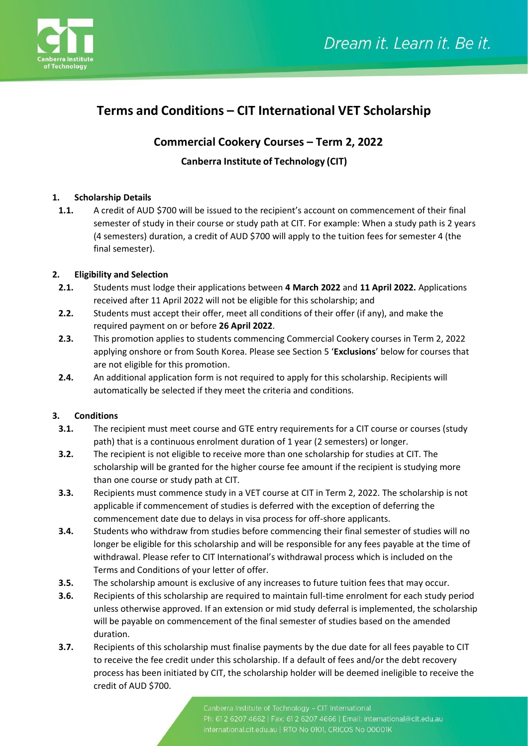

# **Terms and Conditions – CIT International VET Scholarship**

## **Commercial Cookery Courses – Term 2, 2022**

### **Canberra Institute of Technology (CIT)**

#### **1. Scholarship Details**

**1.1.** A credit of AUD \$700 will be issued to the recipient's account on commencement of their final semester of study in their course or study path at CIT. For example: When a study path is 2 years (4 semesters) duration, a credit of AUD \$700 will apply to the tuition fees for semester 4 (the final semester).

#### **2. Eligibility and Selection**

- **2.1.** Students must lodge their applications between **4 March 2022** and **11 April 2022.** Applications received after 11 April 2022 will not be eligible for this scholarship; and
- **2.2.** Students must accept their offer, meet all conditions of their offer (if any), and make the required payment on or before **26 April 2022**.
- **2.3.** This promotion applies to students commencing Commercial Cookery courses in Term 2, 2022 applying onshore or from South Korea. Please see Section 5 '**Exclusions**' below for courses that are not eligible for this promotion.
- **2.4.** An additional application form is not required to apply for this scholarship. Recipients will automatically be selected if they meet the criteria and conditions.

#### **3. Conditions**

- **3.1.** The recipient must meet course and GTE entry requirements for a CIT course or courses (study path) that is a continuous enrolment duration of 1 year (2 semesters) or longer.
- **3.2.** The recipient is not eligible to receive more than one scholarship for studies at CIT. The scholarship will be granted for the higher course fee amount if the recipient is studying more than one course or study path at CIT.
- **3.3.** Recipients must commence study in a VET course at CIT in Term 2, 2022. The scholarship is not applicable if commencement of studies is deferred with the exception of deferring the commencement date due to delays in visa process for off-shore applicants.
- **3.4.** Students who withdraw from studies before commencing their final semester of studies will no longer be eligible for this scholarship and will be responsible for any fees payable at the time of withdrawal. Please refer to CIT International's withdrawal process which is included on the Terms and Conditions of your letter of offer.
- **3.5.** The scholarship amount is exclusive of any increases to future tuition fees that may occur.
- **3.6.** Recipients of this scholarship are required to maintain full-time enrolment for each study period unless otherwise approved. If an extension or mid study deferral is implemented, the scholarship will be payable on commencement of the final semester of studies based on the amended duration.
- **3.7.** Recipients of this scholarship must finalise payments by the due date for all fees payable to CIT to receive the fee credit under this scholarship. If a default of fees and/or the debt recovery process has been initiated by CIT, the scholarship holder will be deemed ineligible to receive the credit of AUD \$700.

Canberra Institute of Technology - CIT International Ph: 61 2 6207 4662 | Fax: 61 2 6207 4666 | Email: international@cit.edu.au international.cit.edu.au | RTO No 0101, CRICOS No 00001K